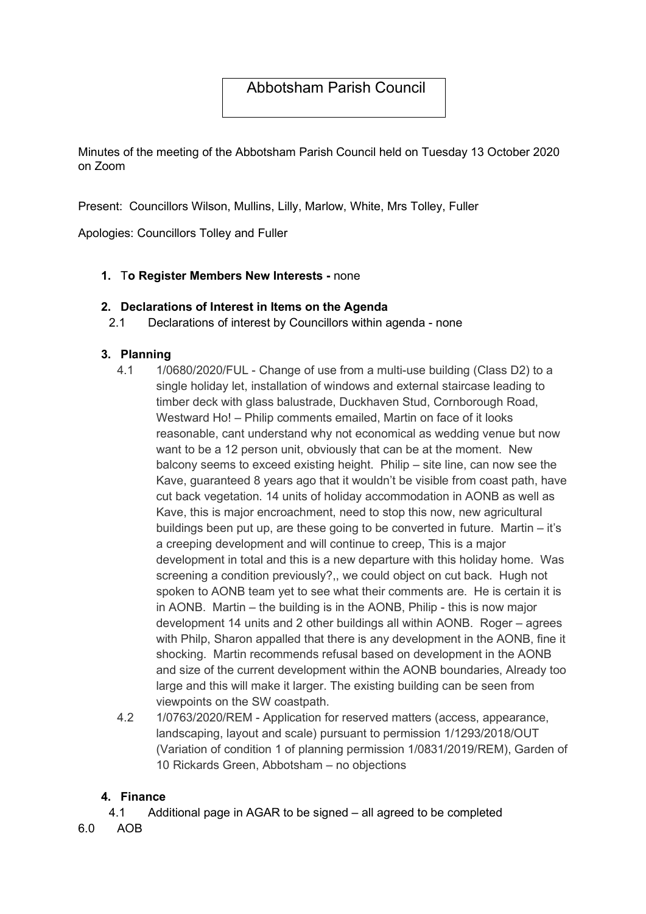# Abbotsham Parish Council

Minutes of the meeting of the Abbotsham Parish Council held on Tuesday 13 October 2020 on Zoom

Present: Councillors Wilson, Mullins, Lilly, Marlow, White, Mrs Tolley, Fuller

Apologies: Councillors Tolley and Fuller

## 1. To Register Members New Interests - none

#### 2. Declarations of Interest in Items on the Agenda

2.1 Declarations of interest by Councillors within agenda - none

## 3. Planning

- 4.1 1/0680/2020/FUL Change of use from a multi-use building (Class D2) to a single holiday let, installation of windows and external staircase leading to timber deck with glass balustrade, Duckhaven Stud, Cornborough Road, Westward Ho! – Philip comments emailed. Martin on face of it looks reasonable, cant understand why not economical as wedding venue but now want to be a 12 person unit, obviously that can be at the moment. New balcony seems to exceed existing height. Philip – site line, can now see the Kave, guaranteed 8 years ago that it wouldn't be visible from coast path, have cut back vegetation. 14 units of holiday accommodation in AONB as well as Kave, this is major encroachment, need to stop this now, new agricultural buildings been put up, are these going to be converted in future. Martin – it's a creeping development and will continue to creep, This is a major development in total and this is a new departure with this holiday home. Was screening a condition previously?,, we could object on cut back. Hugh not spoken to AONB team yet to see what their comments are. He is certain it is in AONB. Martin – the building is in the AONB, Philip - this is now major development 14 units and 2 other buildings all within AONB. Roger – agrees with Philp, Sharon appalled that there is any development in the AONB, fine it shocking. Martin recommends refusal based on development in the AONB and size of the current development within the AONB boundaries, Already too large and this will make it larger. The existing building can be seen from viewpoints on the SW coastpath.
- 4.2 1/0763/2020/REM Application for reserved matters (access, appearance, landscaping, layout and scale) pursuant to permission 1/1293/2018/OUT (Variation of condition 1 of planning permission 1/0831/2019/REM), Garden of 10 Rickards Green, Abbotsham – no objections

# 4. Finance

- 4.1 Additional page in AGAR to be signed all agreed to be completed
- 6.0 AOB